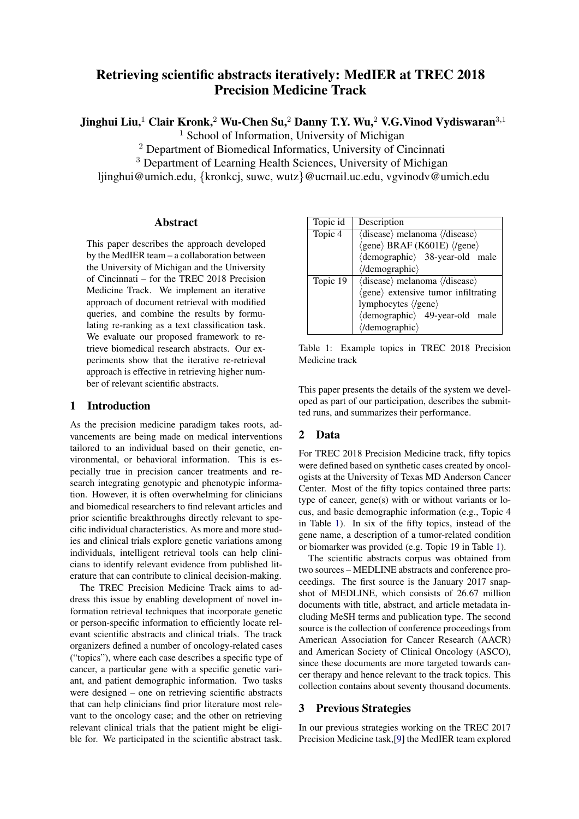# Retrieving scientific abstracts iteratively: MedIER at TREC 2018 Precision Medicine Track

Jinghui Liu,<sup>1</sup> Clair Kronk,<sup>2</sup> Wu-Chen Su,<sup>2</sup> Danny T.Y. Wu,<sup>2</sup> V.G. Vinod Vydiswaran<sup>3,1</sup>

<sup>1</sup> School of Information, University of Michigan

<sup>2</sup> Department of Biomedical Informatics, University of Cincinnati

<sup>3</sup> Department of Learning Health Sciences, University of Michigan

liinghui@umich.edu, {kronkcj, suwc, wutz}@ucmail.uc.edu, vgvinody@umich.edu

## Abstract

This paper describes the approach developed by the MedIER team – a collaboration between the University of Michigan and the University of Cincinnati – for the TREC 2018 Precision Medicine Track. We implement an iterative approach of document retrieval with modified queries, and combine the results by formulating re-ranking as a text classification task. We evaluate our proposed framework to retrieve biomedical research abstracts. Our experiments show that the iterative re-retrieval approach is effective in retrieving higher number of relevant scientific abstracts.

### 1 Introduction

As the precision medicine paradigm takes roots, advancements are being made on medical interventions tailored to an individual based on their genetic, environmental, or behavioral information. This is especially true in precision cancer treatments and research integrating genotypic and phenotypic information. However, it is often overwhelming for clinicians and biomedical researchers to find relevant articles and prior scientific breakthroughs directly relevant to specific individual characteristics. As more and more studies and clinical trials explore genetic variations among individuals, intelligent retrieval tools can help clinicians to identify relevant evidence from published literature that can contribute to clinical decision-making.

The TREC Precision Medicine Track aims to address this issue by enabling development of novel information retrieval techniques that incorporate genetic or person-specific information to efficiently locate relevant scientific abstracts and clinical trials. The track organizers defined a number of oncology-related cases ("topics"), where each case describes a specific type of cancer, a particular gene with a specific genetic variant, and patient demographic information. Two tasks were designed – one on retrieving scientific abstracts that can help clinicians find prior literature most relevant to the oncology case; and the other on retrieving relevant clinical trials that the patient might be eligible for. We participated in the scientific abstract task.

| Topic id | Description                                                       |  |  |  |
|----------|-------------------------------------------------------------------|--|--|--|
| Topic 4  | $\langle$ disease $\rangle$ melanoma $\langle$ /disease $\rangle$ |  |  |  |
|          | $\langle$ gene $\rangle$ BRAF (K601E) $\langle$ /gene $\rangle$   |  |  |  |
|          | (demographic) 38-year-old male                                    |  |  |  |
|          | $\langle$ /demographic $\rangle$                                  |  |  |  |
| Topic 19 | $\langle$ disease $\rangle$ melanoma $\langle$ /disease $\rangle$ |  |  |  |
|          | (gene) extensive tumor infiltrating                               |  |  |  |
|          | lymphocytes (/gene)                                               |  |  |  |
|          | (demographic) 49-year-old male                                    |  |  |  |
|          | (/demographic)                                                    |  |  |  |

<span id="page-0-0"></span>Table 1: Example topics in TREC 2018 Precision Medicine track

This paper presents the details of the system we developed as part of our participation, describes the submitted runs, and summarizes their performance.

### 2 Data

For TREC 2018 Precision Medicine track, fifty topics were defined based on synthetic cases created by oncologists at the University of Texas MD Anderson Cancer Center. Most of the fifty topics contained three parts: type of cancer, gene(s) with or without variants or locus, and basic demographic information (e.g., Topic 4 in Table [1\)](#page-0-0). In six of the fifty topics, instead of the gene name, a description of a tumor-related condition or biomarker was provided (e.g. Topic 19 in Table [1\)](#page-0-0).

The scientific abstracts corpus was obtained from two sources – MEDLINE abstracts and conference proceedings. The first source is the January 2017 snapshot of MEDLINE, which consists of 26.67 million documents with title, abstract, and article metadata including MeSH terms and publication type. The second source is the collection of conference proceedings from American Association for Cancer Research (AACR) and American Society of Clinical Oncology (ASCO), since these documents are more targeted towards cancer therapy and hence relevant to the track topics. This collection contains about seventy thousand documents.

# 3 Previous Strategies

In our previous strategies working on the TREC 2017 Precision Medicine task,[\[9\]](#page-4-0) the MedIER team explored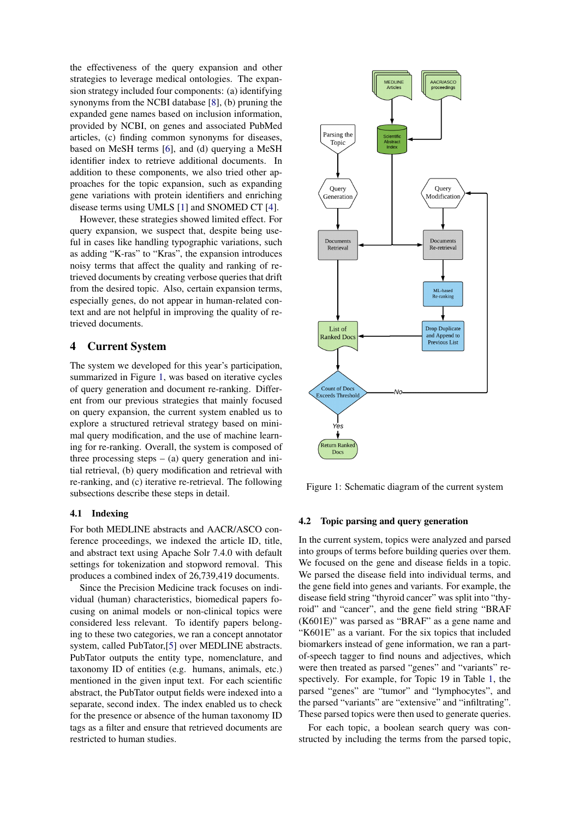the effectiveness of the query expansion and other strategies to leverage medical ontologies. The expansion strategy included four components: (a) identifying synonyms from the NCBI database [\[8\]](#page-4-1), (b) pruning the expanded gene names based on inclusion information, provided by NCBI, on genes and associated PubMed articles, (c) finding common synonyms for diseases, based on MeSH terms [\[6\]](#page-4-2), and (d) querying a MeSH identifier index to retrieve additional documents. In addition to these components, we also tried other approaches for the topic expansion, such as expanding gene variations with protein identifiers and enriching disease terms using UMLS [\[1\]](#page-3-0) and SNOMED CT [\[4\]](#page-4-3).

However, these strategies showed limited effect. For query expansion, we suspect that, despite being useful in cases like handling typographic variations, such as adding "K-ras" to "Kras", the expansion introduces noisy terms that affect the quality and ranking of retrieved documents by creating verbose queries that drift from the desired topic. Also, certain expansion terms, especially genes, do not appear in human-related context and are not helpful in improving the quality of retrieved documents.

### 4 Current System

The system we developed for this year's participation, summarized in Figure [1,](#page-1-0) was based on iterative cycles of query generation and document re-ranking. Different from our previous strategies that mainly focused on query expansion, the current system enabled us to explore a structured retrieval strategy based on minimal query modification, and the use of machine learning for re-ranking. Overall, the system is composed of three processing steps  $-$  (a) query generation and initial retrieval, (b) query modification and retrieval with re-ranking, and (c) iterative re-retrieval. The following subsections describe these steps in detail.

### 4.1 Indexing

For both MEDLINE abstracts and AACR/ASCO conference proceedings, we indexed the article ID, title, and abstract text using Apache Solr 7.4.0 with default settings for tokenization and stopword removal. This produces a combined index of 26,739,419 documents.

Since the Precision Medicine track focuses on individual (human) characteristics, biomedical papers focusing on animal models or non-clinical topics were considered less relevant. To identify papers belonging to these two categories, we ran a concept annotator system, called PubTator,[\[5\]](#page-4-4) over MEDLINE abstracts. PubTator outputs the entity type, nomenclature, and taxonomy ID of entities (e.g. humans, animals, etc.) mentioned in the given input text. For each scientific abstract, the PubTator output fields were indexed into a separate, second index. The index enabled us to check for the presence or absence of the human taxonomy ID tags as a filter and ensure that retrieved documents are restricted to human studies.



<span id="page-1-0"></span>Figure 1: Schematic diagram of the current system

#### <span id="page-1-1"></span>4.2 Topic parsing and query generation

In the current system, topics were analyzed and parsed into groups of terms before building queries over them. We focused on the gene and disease fields in a topic. We parsed the disease field into individual terms, and the gene field into genes and variants. For example, the disease field string "thyroid cancer" was split into "thyroid" and "cancer", and the gene field string "BRAF (K601E)" was parsed as "BRAF" as a gene name and "K601E" as a variant. For the six topics that included biomarkers instead of gene information, we ran a partof-speech tagger to find nouns and adjectives, which were then treated as parsed "genes" and "variants" respectively. For example, for Topic 19 in Table [1,](#page-0-0) the parsed "genes" are "tumor" and "lymphocytes", and the parsed "variants" are "extensive" and "infiltrating". These parsed topics were then used to generate queries.

For each topic, a boolean search query was constructed by including the terms from the parsed topic,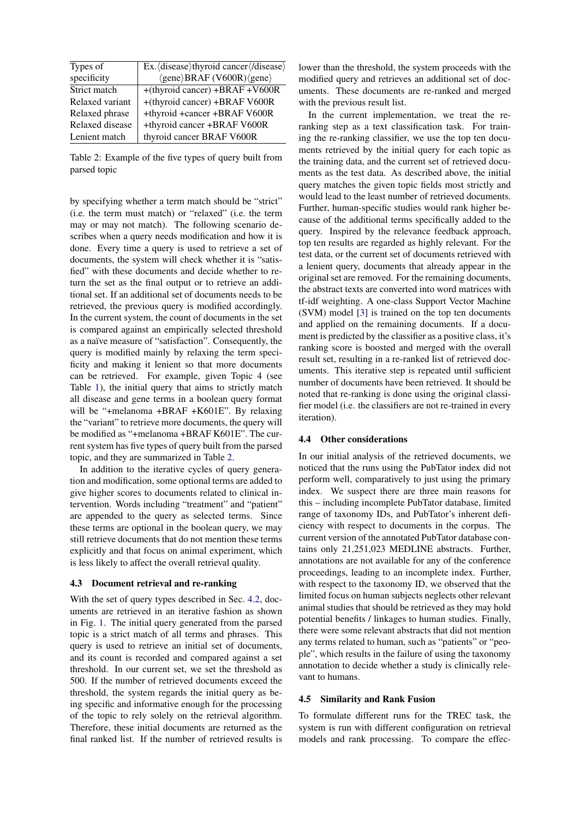| Types of        | Ex. (disease)thyroid cancer (/disease)                         |
|-----------------|----------------------------------------------------------------|
| specificity     | $\langle$ gene $\rangle$ BRAF (V600R) $\langle$ gene $\rangle$ |
| Strict match    | +(thyroid cancer) +BRAF +V600R                                 |
| Relaxed variant | +(thyroid cancer) +BRAF V600R                                  |
| Relaxed phrase  | +thyroid +cancer +BRAF V600R                                   |
| Relaxed disease | +thyroid cancer +BRAF V600R                                    |
| Lenient match   | thyroid cancer BRAF V600R                                      |

<span id="page-2-0"></span>Table 2: Example of the five types of query built from parsed topic

by specifying whether a term match should be "strict" (i.e. the term must match) or "relaxed" (i.e. the term may or may not match). The following scenario describes when a query needs modification and how it is done. Every time a query is used to retrieve a set of documents, the system will check whether it is "satisfied" with these documents and decide whether to return the set as the final output or to retrieve an additional set. If an additional set of documents needs to be retrieved, the previous query is modified accordingly. In the current system, the count of documents in the set is compared against an empirically selected threshold as a naïve measure of "satisfaction". Consequently, the query is modified mainly by relaxing the term specificity and making it lenient so that more documents can be retrieved. For example, given Topic 4 (see Table [1\)](#page-0-0), the initial query that aims to strictly match all disease and gene terms in a boolean query format will be "+melanoma +BRAF +K601E". By relaxing the "variant" to retrieve more documents, the query will be modified as "+melanoma +BRAF K601E". The current system has five types of query built from the parsed topic, and they are summarized in Table [2.](#page-2-0)

In addition to the iterative cycles of query generation and modification, some optional terms are added to give higher scores to documents related to clinical intervention. Words including "treatment" and "patient" are appended to the query as selected terms. Since these terms are optional in the boolean query, we may still retrieve documents that do not mention these terms explicitly and that focus on animal experiment, which is less likely to affect the overall retrieval quality.

#### 4.3 Document retrieval and re-ranking

With the set of query types described in Sec. [4.2,](#page-1-1) documents are retrieved in an iterative fashion as shown in Fig. [1.](#page-1-0) The initial query generated from the parsed topic is a strict match of all terms and phrases. This query is used to retrieve an initial set of documents, and its count is recorded and compared against a set threshold. In our current set, we set the threshold as 500. If the number of retrieved documents exceed the threshold, the system regards the initial query as being specific and informative enough for the processing of the topic to rely solely on the retrieval algorithm. Therefore, these initial documents are returned as the final ranked list. If the number of retrieved results is lower than the threshold, the system proceeds with the modified query and retrieves an additional set of documents. These documents are re-ranked and merged with the previous result list.

In the current implementation, we treat the reranking step as a text classification task. For training the re-ranking classifier, we use the top ten documents retrieved by the initial query for each topic as the training data, and the current set of retrieved documents as the test data. As described above, the initial query matches the given topic fields most strictly and would lead to the least number of retrieved documents. Further, human-specific studies would rank higher because of the additional terms specifically added to the query. Inspired by the relevance feedback approach, top ten results are regarded as highly relevant. For the test data, or the current set of documents retrieved with a lenient query, documents that already appear in the original set are removed. For the remaining documents, the abstract texts are converted into word matrices with tf-idf weighting. A one-class Support Vector Machine (SVM) model [\[3\]](#page-4-5) is trained on the top ten documents and applied on the remaining documents. If a document is predicted by the classifier as a positive class, it's ranking score is boosted and merged with the overall result set, resulting in a re-ranked list of retrieved documents. This iterative step is repeated until sufficient number of documents have been retrieved. It should be noted that re-ranking is done using the original classifier model (i.e. the classifiers are not re-trained in every iteration).

#### 4.4 Other considerations

In our initial analysis of the retrieved documents, we noticed that the runs using the PubTator index did not perform well, comparatively to just using the primary index. We suspect there are three main reasons for this – including incomplete PubTator database, limited range of taxonomy IDs, and PubTator's inherent deficiency with respect to documents in the corpus. The current version of the annotated PubTator database contains only 21,251,023 MEDLINE abstracts. Further, annotations are not available for any of the conference proceedings, leading to an incomplete index. Further, with respect to the taxonomy ID, we observed that the limited focus on human subjects neglects other relevant animal studies that should be retrieved as they may hold potential benefits / linkages to human studies. Finally, there were some relevant abstracts that did not mention any terms related to human, such as "patients" or "people", which results in the failure of using the taxonomy annotation to decide whether a study is clinically relevant to humans.

#### 4.5 Similarity and Rank Fusion

To formulate different runs for the TREC task, the system is run with different configuration on retrieval models and rank processing. To compare the effec-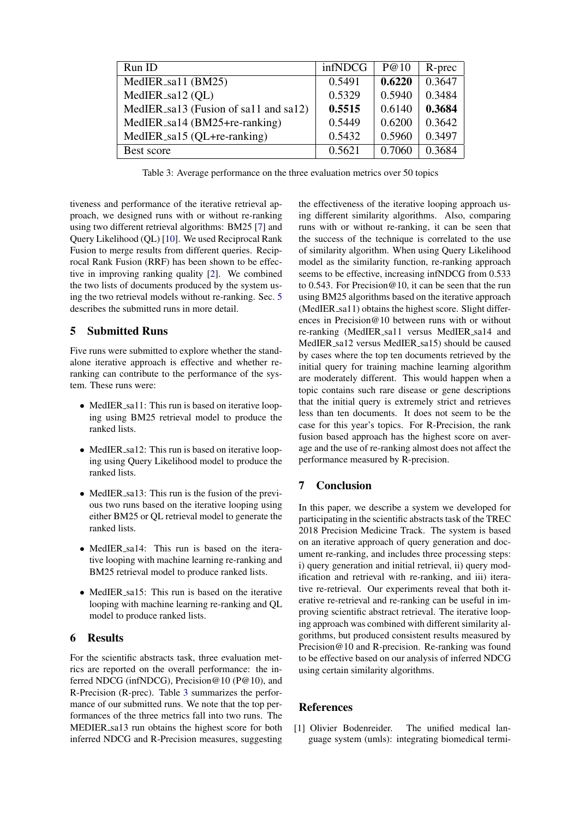| Run ID                                | infNDCG | P@10   | R-prec |
|---------------------------------------|---------|--------|--------|
| MedIER_sa11 (BM25)                    | 0.5491  | 0.6220 | 0.3647 |
| MedIER_sa12 (QL)                      | 0.5329  | 0.5940 | 0.3484 |
| MedIER_sa13 (Fusion of sa11 and sa12) | 0.5515  | 0.6140 | 0.3684 |
| MedIER_sa14 (BM25+re-ranking)         | 0.5449  | 0.6200 | 0.3642 |
| MedIER_sa15 (QL+re-ranking)           | 0.5432  | 0.5960 | 0.3497 |
| Best score                            | 0.5621  | 0.7060 | 0.3684 |

<span id="page-3-2"></span>Table 3: Average performance on the three evaluation metrics over 50 topics

tiveness and performance of the iterative retrieval approach, we designed runs with or without re-ranking using two different retrieval algorithms: BM25 [\[7\]](#page-4-6) and Query Likelihood (QL) [\[10\]](#page-4-7). We used Reciprocal Rank Fusion to merge results from different queries. Reciprocal Rank Fusion (RRF) has been shown to be effective in improving ranking quality [\[2\]](#page-4-8). We combined the two lists of documents produced by the system using the two retrieval models without re-ranking. Sec. [5](#page-3-1) describes the submitted runs in more detail.

# <span id="page-3-1"></span>5 Submitted Runs

Five runs were submitted to explore whether the standalone iterative approach is effective and whether reranking can contribute to the performance of the system. These runs were:

- MedIER\_sa11: This run is based on iterative looping using BM25 retrieval model to produce the ranked lists.
- MedIER\_sa12: This run is based on iterative looping using Query Likelihood model to produce the ranked lists.
- MedIER\_sa13: This run is the fusion of the previous two runs based on the iterative looping using either BM25 or QL retrieval model to generate the ranked lists.
- MedIER sa14: This run is based on the iterative looping with machine learning re-ranking and BM25 retrieval model to produce ranked lists.
- MedIER\_sa15: This run is based on the iterative looping with machine learning re-ranking and QL model to produce ranked lists.

# 6 Results

For the scientific abstracts task, three evaluation metrics are reported on the overall performance: the inferred NDCG (infNDCG), Precision@10 (P@10), and R-Precision (R-prec). Table [3](#page-3-2) summarizes the performance of our submitted runs. We note that the top performances of the three metrics fall into two runs. The MEDIER sa13 run obtains the highest score for both inferred NDCG and R-Precision measures, suggesting the effectiveness of the iterative looping approach using different similarity algorithms. Also, comparing runs with or without re-ranking, it can be seen that the success of the technique is correlated to the use of similarity algorithm. When using Query Likelihood model as the similarity function, re-ranking approach seems to be effective, increasing infNDCG from 0.533 to 0.543. For Precision@10, it can be seen that the run using BM25 algorithms based on the iterative approach (MedIER sa11) obtains the highest score. Slight differences in Precision@10 between runs with or without re-ranking (MedIER sa11 versus MedIER sa14 and MedIER sa12 versus MedIER sa15) should be caused by cases where the top ten documents retrieved by the initial query for training machine learning algorithm are moderately different. This would happen when a topic contains such rare disease or gene descriptions that the initial query is extremely strict and retrieves less than ten documents. It does not seem to be the case for this year's topics. For R-Precision, the rank fusion based approach has the highest score on average and the use of re-ranking almost does not affect the performance measured by R-precision.

# 7 Conclusion

In this paper, we describe a system we developed for participating in the scientific abstracts task of the TREC 2018 Precision Medicine Track. The system is based on an iterative approach of query generation and document re-ranking, and includes three processing steps: i) query generation and initial retrieval, ii) query modification and retrieval with re-ranking, and iii) iterative re-retrieval. Our experiments reveal that both iterative re-retrieval and re-ranking can be useful in improving scientific abstract retrieval. The iterative looping approach was combined with different similarity algorithms, but produced consistent results measured by Precision@10 and R-precision. Re-ranking was found to be effective based on our analysis of inferred NDCG using certain similarity algorithms.

# References

<span id="page-3-0"></span>[1] Olivier Bodenreider. The unified medical language system (umls): integrating biomedical termi